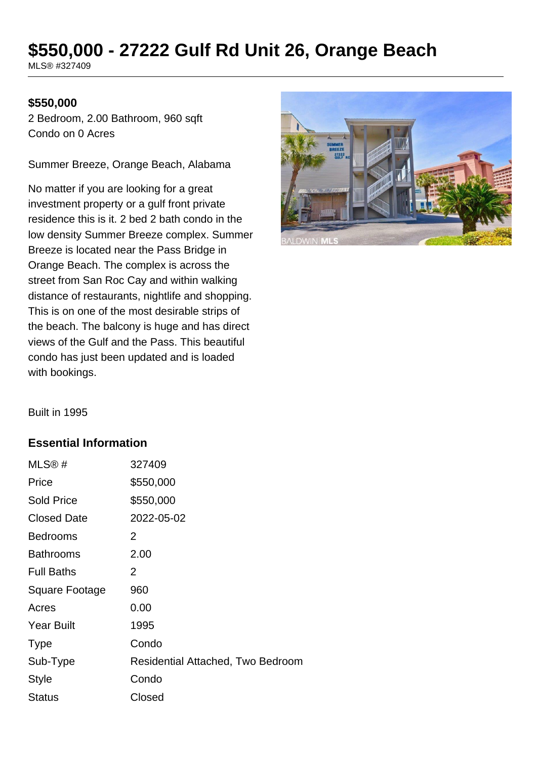# **\$550,000 - 27222 Gulf Rd Unit 26, Orange Beach**

MLS® #327409

#### **\$550,000**

2 Bedroom, 2.00 Bathroom, 960 sqft Condo on 0 Acres

Summer Breeze, Orange Beach, Alabama

No matter if you are looking for a great investment property or a gulf front private residence this is it. 2 bed 2 bath condo in the low density Summer Breeze complex. Summer Breeze is located near the Pass Bridge in Orange Beach. The complex is across the street from San Roc Cay and within walking distance of restaurants, nightlife and shopping. This is on one of the most desirable strips of the beach. The balcony is huge and has direct views of the Gulf and the Pass. This beautiful condo has just been updated and is loaded with bookings.



Built in 1995

#### **Essential Information**

| MLS@#                 | 327409                            |
|-----------------------|-----------------------------------|
| Price                 | \$550,000                         |
| <b>Sold Price</b>     | \$550,000                         |
| <b>Closed Date</b>    | 2022-05-02                        |
| <b>Bedrooms</b>       | 2                                 |
| <b>Bathrooms</b>      | 2.00                              |
| <b>Full Baths</b>     | 2                                 |
| <b>Square Footage</b> | 960                               |
| Acres                 | 0.00                              |
| <b>Year Built</b>     | 1995                              |
| <b>Type</b>           | Condo                             |
| Sub-Type              | Residential Attached, Two Bedroom |
| <b>Style</b>          | Condo                             |
| <b>Status</b>         | Closed                            |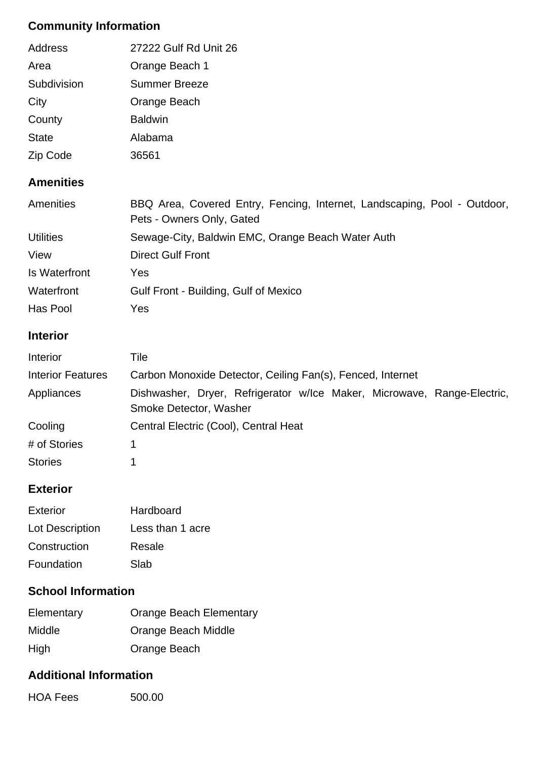# **Community Information**

| Address      | 27222 Gulf Rd Unit 26 |
|--------------|-----------------------|
| Area         | Orange Beach 1        |
| Subdivision  | Summer Breeze         |
| City         | Orange Beach          |
| County       | <b>Baldwin</b>        |
| <b>State</b> | Alabama               |
| Zip Code     | 36561                 |

## **Amenities**

| Amenities        | BBQ Area, Covered Entry, Fencing, Internet, Landscaping, Pool - Outdoor, |  |
|------------------|--------------------------------------------------------------------------|--|
|                  | Pets - Owners Only, Gated                                                |  |
| <b>Utilities</b> | Sewage-City, Baldwin EMC, Orange Beach Water Auth                        |  |
| View             | <b>Direct Gulf Front</b>                                                 |  |
| Is Waterfront    | Yes                                                                      |  |
| Waterfront       | Gulf Front - Building, Gulf of Mexico                                    |  |
| Has Pool         | Yes                                                                      |  |

### **Interior**

| Interior                 | Tile                                                                                              |  |  |
|--------------------------|---------------------------------------------------------------------------------------------------|--|--|
| <b>Interior Features</b> | Carbon Monoxide Detector, Ceiling Fan(s), Fenced, Internet                                        |  |  |
| Appliances               | Dishwasher, Dryer, Refrigerator w/lce Maker, Microwave, Range-Electric,<br>Smoke Detector, Washer |  |  |
| Cooling                  | Central Electric (Cool), Central Heat                                                             |  |  |
| # of Stories             |                                                                                                   |  |  |
| <b>Stories</b>           |                                                                                                   |  |  |

## **Exterior**

| Exterior               | Hardboard        |
|------------------------|------------------|
| <b>Lot Description</b> | Less than 1 acre |
| Construction           | Resale           |
| Foundation             | Slab             |

# **School Information**

| Elementary    | <b>Orange Beach Elementary</b> |
|---------------|--------------------------------|
| <b>Middle</b> | Orange Beach Middle            |
| <b>High</b>   | Orange Beach                   |

### **Additional Information**

HOA Fees 500.00